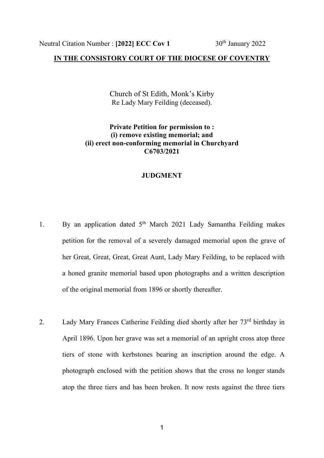## **IN THE CONSISTORY COURT OF THE DIOCESE OF COVENTRY**

Church of St Edith, Monk's Kirby Re Lady Mary Feilding (deceased).

## **Private Petition for permission to : (i) remove existing memorial; and (ii) erect non-conforming memorial in Churchyard C6703/2021**

## **JUDGMENT**

- 1. By an application dated  $5<sup>th</sup>$  March 2021 Lady Samantha Feilding makes petition for the removal of a severely damaged memorial upon the grave of her Great, Great, Great, Great Aunt, Lady Mary Feilding, to be replaced with a honed granite memorial based upon photographs and a written description of the original memorial from 1896 or shortly thereafter.
- 2. Lady Mary Frances Catherine Feilding died shortly after her 73rd birthday in April 1896. Upon her grave was set a memorial of an upright cross atop three tiers of stone with kerbstones bearing an inscription around the edge. A photograph enclosed with the petition shows that the cross no longer stands atop the three tiers and has been broken. It now rests against the three tiers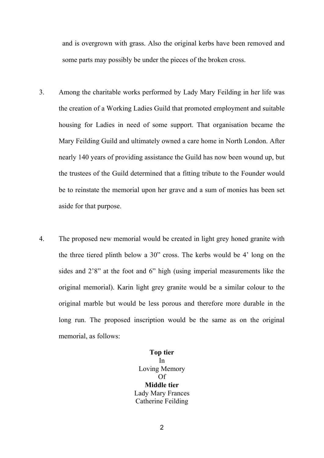and is overgrown with grass. Also the original kerbs have been removed and some parts may possibly be under the pieces of the broken cross.

- 3. Among the charitable works performed by Lady Mary Feilding in her life was the creation of a Working Ladies Guild that promoted employment and suitable housing for Ladies in need of some support. That organisation became the Mary Feilding Guild and ultimately owned a care home in North London. After nearly 140 years of providing assistance the Guild has now been wound up, but the trustees of the Guild determined that a fitting tribute to the Founder would be to reinstate the memorial upon her grave and a sum of monies has been set aside for that purpose.
- 4. The proposed new memorial would be created in light grey honed granite with the three tiered plinth below a 30" cross. The kerbs would be 4' long on the sides and 2'8" at the foot and 6" high (using imperial measurements like the original memorial). Karin light grey granite would be a similar colour to the original marble but would be less porous and therefore more durable in the long run. The proposed inscription would be the same as on the original memorial, as follows:

**Top tier**  In Loving Memory Of **Middle tier**  Lady Mary Frances Catherine Feilding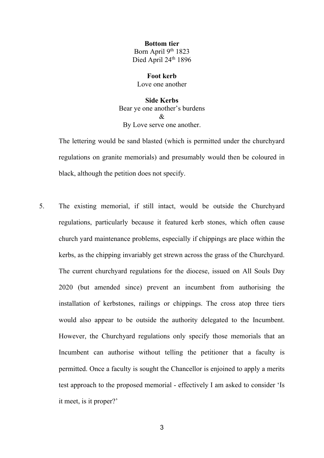**Bottom tier**  Born April 9th 1823 Died April 24<sup>th</sup> 1896

**Foot kerb** Love one another

**Side Kerbs** Bear ye one another's burdens  $\mathcal{R}$ By Love serve one another.

 The lettering would be sand blasted (which is permitted under the churchyard regulations on granite memorials) and presumably would then be coloured in black, although the petition does not specify.

5. The existing memorial, if still intact, would be outside the Churchyard regulations, particularly because it featured kerb stones, which often cause church yard maintenance problems, especially if chippings are place within the kerbs, as the chipping invariably get strewn across the grass of the Churchyard. The current churchyard regulations for the diocese, issued on All Souls Day 2020 (but amended since) prevent an incumbent from authorising the installation of kerbstones, railings or chippings. The cross atop three tiers would also appear to be outside the authority delegated to the Incumbent. However, the Churchyard regulations only specify those memorials that an Incumbent can authorise without telling the petitioner that a faculty is permitted. Once a faculty is sought the Chancellor is enjoined to apply a merits test approach to the proposed memorial - effectively I am asked to consider 'Is it meet, is it proper?'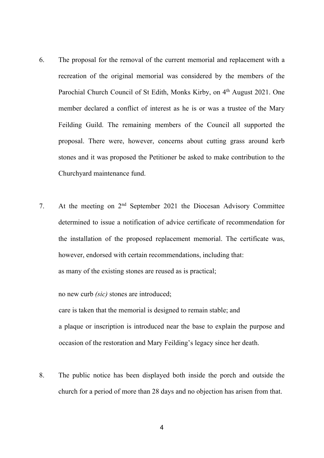- 6. The proposal for the removal of the current memorial and replacement with a recreation of the original memorial was considered by the members of the Parochial Church Council of St Edith, Monks Kirby, on 4<sup>th</sup> August 2021. One member declared a conflict of interest as he is or was a trustee of the Mary Feilding Guild. The remaining members of the Council all supported the proposal. There were, however, concerns about cutting grass around kerb stones and it was proposed the Petitioner be asked to make contribution to the Churchyard maintenance fund.
- 7. At the meeting on  $2<sup>nd</sup>$  September 2021 the Diocesan Advisory Committee determined to issue a notification of advice certificate of recommendation for the installation of the proposed replacement memorial. The certificate was, however, endorsed with certain recommendations, including that: as many of the existing stones are reused as is practical;

 no new curb *(sic)* stones are introduced; care is taken that the memorial is designed to remain stable; and a plaque or inscription is introduced near the base to explain the purpose and occasion of the restoration and Mary Feilding's legacy since her death.

8. The public notice has been displayed both inside the porch and outside the church for a period of more than 28 days and no objection has arisen from that.

4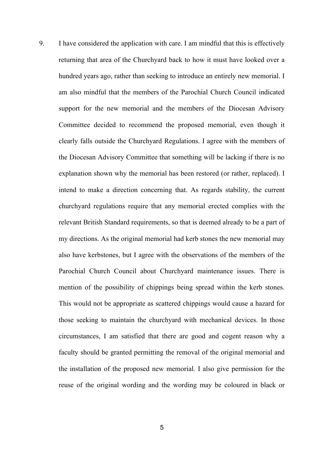9. I have considered the application with care. I am mindful that this is effectively returning that area of the Churchyard back to how it must have looked over a hundred years ago, rather than seeking to introduce an entirely new memorial. I am also mindful that the members of the Parochial Church Council indicated support for the new memorial and the members of the Diocesan Advisory Committee decided to recommend the proposed memorial, even though it clearly falls outside the Churchyard Regulations. I agree with the members of the Diocesan Advisory Committee that something will be lacking if there is no explanation shown why the memorial has been restored (or rather, replaced). I intend to make a direction concerning that. As regards stability, the current churchyard regulations require that any memorial erected complies with the relevant British Standard requirements, so that is deemed already to be a part of my directions. As the original memorial had kerb stones the new memorial may also have kerbstones, but I agree with the observations of the members of the Parochial Church Council about Churchyard maintenance issues. There is mention of the possibility of chippings being spread within the kerb stones. This would not be appropriate as scattered chippings would cause a hazard for those seeking to maintain the churchyard with mechanical devices. In those circumstances, I am satisfied that there are good and cogent reason why a faculty should be granted permitting the removal of the original memorial and the installation of the proposed new memorial. I also give permission for the reuse of the original wording and the wording may be coloured in black or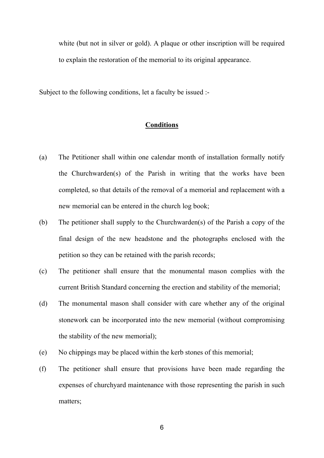white (but not in silver or gold). A plaque or other inscription will be required to explain the restoration of the memorial to its original appearance.

Subject to the following conditions, let a faculty be issued :-

## **Conditions**

- (a) The Petitioner shall within one calendar month of installation formally notify the Churchwarden(s) of the Parish in writing that the works have been completed, so that details of the removal of a memorial and replacement with a new memorial can be entered in the church log book;
- (b) The petitioner shall supply to the Churchwarden(s) of the Parish a copy of the final design of the new headstone and the photographs enclosed with the petition so they can be retained with the parish records;
- (c) The petitioner shall ensure that the monumental mason complies with the current British Standard concerning the erection and stability of the memorial;
- (d) The monumental mason shall consider with care whether any of the original stonework can be incorporated into the new memorial (without compromising the stability of the new memorial);
- (e) No chippings may be placed within the kerb stones of this memorial;
- (f) The petitioner shall ensure that provisions have been made regarding the expenses of churchyard maintenance with those representing the parish in such matters;